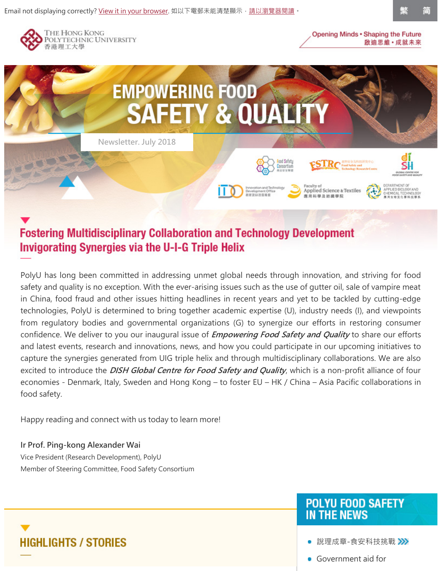

简



# **Fostering Multidisciplinary Collaboration and Technology Development Invigorating Synergies via the U-I-G Triple Helix**

PolyU has long been committed in addressing unmet global needs through innovation, and striving for food safety and quality is no exception. With the ever-arising issues such as the use of gutter oil, sale of vampire meat in China, food fraud and other issues hitting headlines in recent years and yet to be tackled by cutting-edge technologies, PolyU is determined to bring together academic expertise (U), industry needs (I), and viewpoints from regulatory bodies and governmental organizations (G) to synergize our efforts in restoring consumer confidence. We deliver to you our inaugural issue of *Empowering Food Safety and Quality* to share our efforts and latest events, research and innovations, news, and how you could participate in our upcoming initiatives to capture the synergies generated from UIG triple helix and through multidisciplinary collaborations. We are also excited to introduce the *DISH Global Centre for Food Safety and Quality*, which is a non-profit alliance of four economies - Denmark, Italy, Sweden and Hong Kong – to foster EU – HK / China – Asia Pacific collaborations in food safety.

Happy reading and connect with us today to learn more!

#### **Ir Prof. Ping-kong Alexander Wai**

**HIGHLIGHTS / STORIES** 

Vice President (Research Development), PolyU Member of Steering Committee, Food Safety Consortium

#### **POLYU FOOD SAFETY IN THE NEWS**

• [說理成章-食安科技挑戰](https://www.am730.com.hk/column/%E6%96%B0%E8%81%9E/%E9%A3%9F%E5%AE%89%E7%A7%91%E6%8A%80%E6%8C%91%E6%88%B0-106131) >>>

[Government aid for](http://www.scmp.com/news/hong-kong/health-environment/article/2066858/government-aid-upgrades-inadequate-hong-kong)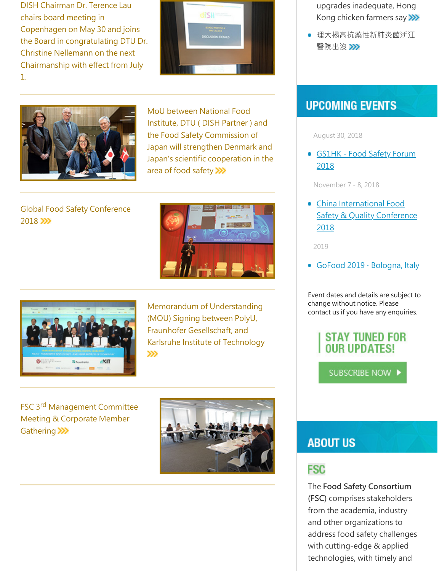DISH Chairman Dr. Terence Lau chairs board meeting in Copenhagen on May 30 and joins the Board in congratulating DTU Dr. Christine Nellemann on the next Chairmanship with effect from July 1.





MoU between National Food Institute, DTU ( DISH Partner ) and the Food Safety Commission of Japan will strengthen Denmark and [Japan's scientific cooperation in the](http://www.food.dtu.dk/english/news/Nyhed?id={372F7A78-AC33-4D50-8F5E-691550C79341}) area of food safety >>>

[Global Food Safety Conference](https://www.polyu.edu.hk/itdo/en/events.php?event=3649) 2018 >>>





Memorandum of Understanding (MOU) Signing between PolyU, Fraunhofer Gesellschaft, and [Karlsruhe Institute of Technology](https://www.polyu.edu.hk/web/en/media/media_releases/index_id_6512.html)  »

FSC 3rd Management Committee [Meeting & Corporate Member](https://www.polyu.edu.hk/itdo/en/events.php?event=3641) Gathering >>>



- [upgrades inadequate, Hong](http://www.scmp.com/news/hong-kong/health-environment/article/2066858/government-aid-upgrades-inadequate-hong-kong) Kong chicken farmers say >>>
- 理大揭高抗藥性新肺炎菌浙江 醫院出沒>>

# **UPCOMING EVENTS**

August 30, 2018

**[GS1HK - Food Safety Forum](https://www.gs1hk.org/events/food-safety-forum-2018)** 2018

November 7 - 8, 2018

China International Food **[Safety & Quality Conference](http://www.chinafoodsafety.com/)** 2018

2019

■ GoFood 2019 · Bologna, Italy

Event dates and details are subject to change without notice. Please contact us if you have any enquiries.

### **STAY TUNED FOR OUR UPDATES!**

SUBSCRIBE NOW D

# **ABOUT US**

#### **FSC**

The **Food Safety Consortium (FSC)** comprises stakeholders from the academia, industry and other organizations to address food safety challenges with cutting-edge & applied technologies, with timely and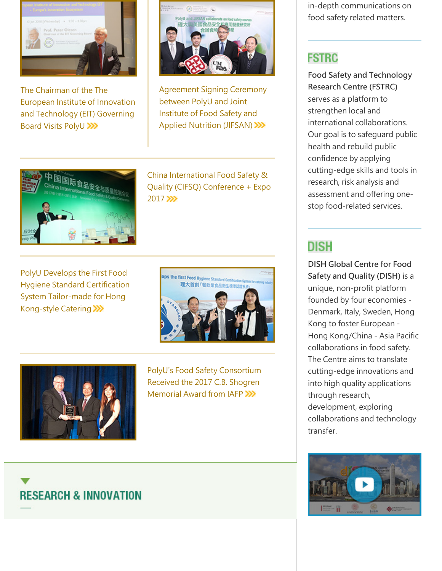

The Chairman of the The [European Institute of Innovation](https://www.polyu.edu.hk/itdo/en/events.php?event=3528) and Technology (EIT) Governing Board Visits PolyU >>>>



[Agreement Signing Ceremony](https://www.polyu.edu.hk/web/en/media/media_releases/index_id_6489.html) between PolyU and Joint Institute of Food Safety and Applied Nutrition (JIFSAN) >>>



China International Food Safety & [Quality \(CIFSQ\) Conference + Expo](https://www.polyu.edu.hk/itdo/en/events.php?event=3133) 2017 >>>

PolyU Develops the First Food [Hygiene Standard Certification](https://www.polyu.edu.hk/web/en/media/media_releases/index_id_6455.html) System Tailor-made for Hong Kong-style Catering >>>>





[PolyU's Food Safety Consortium](https://www.polyu.edu.hk/itdo/en/events.php?page=2&event=2506) Received the 2017 C.B. Shogren Memorial Award from IAFP

in-depth communications on food safety related matters.

# **FSTRC**

**Food Safety and Technology Research Centre (FSTRC)** serves as a platform to strengthen local and international collaborations. Our goal is to safeguard public health and rebuild public confidence by applying cutting-edge skills and tools in research, risk analysis and assessment and offering onestop food-related services.

# **DISH**

**DISH Global Centre for Food Safety and Quality (DISH)** is a unique, non-profit platform founded by four economies - Denmark, Italy, Sweden, Hong Kong to foster European - Hong Kong/China - Asia Pacific collaborations in food safety. The Centre aims to translate cutting-edge innovations and into high quality applications through research, development, exploring collaborations and technology transfer.



# **RESEARCH & INNOVATION**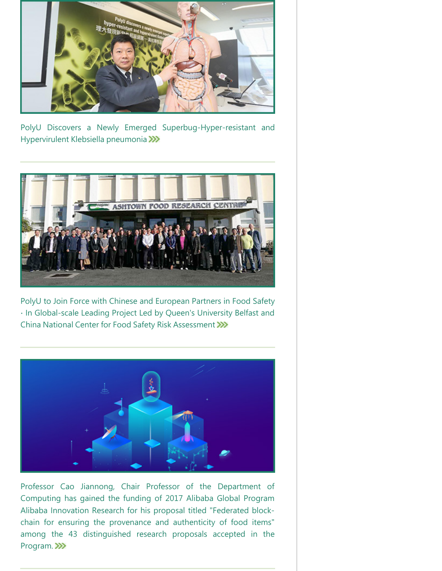

[PolyU Discovers a Newly Emerged Superbug-Hyper-resistant and](https://www.polyu.edu.hk/web/en/media/media_releases/index_id_6443.html) Hypervirulent Klebsiella pneumonia >>>



[PolyU to Join Force with Chinese and European Partners in Food Safety](https://www.polyu.edu.hk/web/en/media/media_releases/index_id_6421.html) ∙ In Global-scale Leading Project Led by Queen's University Belfast and China National Center for Food Safety Risk Assessment



Professor Cao Jiannong, Chair Professor of the Department of Computing has gained the funding of 2017 Alibaba Global Program Alibaba Innovation Research for his proposal titled "Federated blockchain for ensuring the provenance and authenticity of food items" [among the 43 distinguished research proposals accepted in the](https://102.alibaba.com/fund/proposalResult.htm) Program. >>>